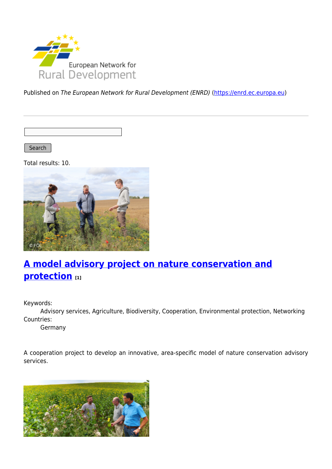

Published on The European Network for Rural Development (ENRD) [\(https://enrd.ec.europa.eu](https://enrd.ec.europa.eu))

Search

Total results: 10.



# **[A model advisory project on nature conservation and](https://enrd.ec.europa.eu/projects-practice/model-advisory-project-nature-conservation-and-protection_en) [protection](https://enrd.ec.europa.eu/projects-practice/model-advisory-project-nature-conservation-and-protection_en) [1]**

Keywords:

Advisory services, Agriculture, Biodiversity, Cooperation, Environmental protection, Networking Countries:

Germany

A cooperation project to develop an innovative, area-specific model of nature conservation advisory services.

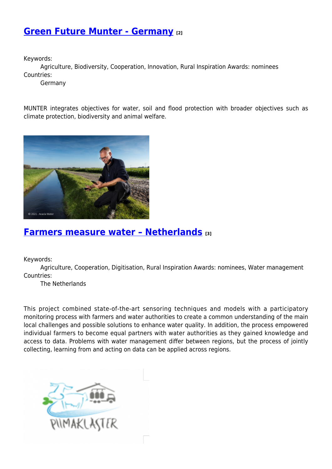### **[Green Future Munter - Germany](https://enrd.ec.europa.eu/projects-practice/green-future-munter-germany_en) [2]**

Keywords:

Agriculture, Biodiversity, Cooperation, Innovation, Rural Inspiration Awards: nominees Countries:

Germany

MUNTER integrates objectives for water, soil and flood protection with broader objectives such as climate protection, biodiversity and animal welfare.



#### **[Farmers measure water – Netherlands](https://enrd.ec.europa.eu/projects-practice/farmers-measure-water-netherlands_en) [3]**

Keywords:

Agriculture, Cooperation, Digitisation, Rural Inspiration Awards: nominees, Water management Countries:

The Netherlands

This project combined state-of-the-art sensoring techniques and models with a participatory monitoring process with farmers and water authorities to create a common understanding of the main local challenges and possible solutions to enhance water quality. In addition, the process empowered individual farmers to become equal partners with water authorities as they gained knowledge and access to data. Problems with water management differ between regions, but the process of jointly collecting, learning from and acting on data can be applied across regions.

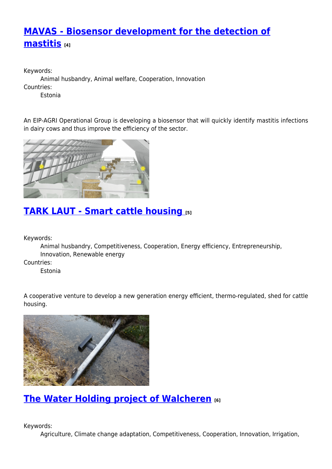## **[MAVAS - Biosensor development for the detection of](https://enrd.ec.europa.eu/projects-practice/mavas-biosensor-development-detection-mastitis_en) [mastitis](https://enrd.ec.europa.eu/projects-practice/mavas-biosensor-development-detection-mastitis_en) [4]**

Keywords: Animal husbandry, Animal welfare, Cooperation, Innovation Countries: Estonia

An EIP-AGRI Operational Group is developing a biosensor that will quickly identify mastitis infections in dairy cows and thus improve the efficiency of the sector.



## **[TARK LAUT - Smart cattle housing](https://enrd.ec.europa.eu/projects-practice/tark-laut-smart-cattle-housing_en) [5]**

Keywords:

Animal husbandry, Competitiveness, Cooperation, Energy efficiency, Entrepreneurship, Innovation, Renewable energy

Countries:

Estonia

A cooperative venture to develop a new generation energy efficient, thermo-regulated, shed for cattle housing.



## **[The Water Holding project of Walcheren](https://enrd.ec.europa.eu/projects-practice/water-holding-project-walcheren_en) [6]**

Keywords:

Agriculture, Climate change adaptation, Competitiveness, Cooperation, Innovation, Irrigation,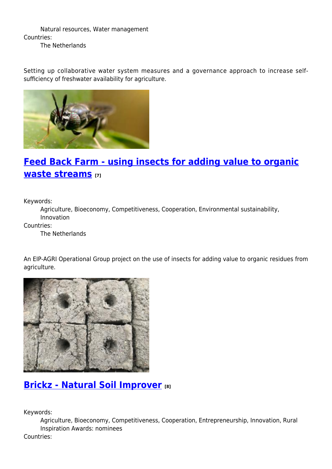Natural resources, Water management Countries: The Netherlands

Setting up collaborative water system measures and a governance approach to increase selfsufficiency of freshwater availability for agriculture.



## **[Feed Back Farm - using insects for adding value to organic](https://enrd.ec.europa.eu/projects-practice/feed-back-farm-using-insects-adding-value-organic-waste-streams_en) [waste streams](https://enrd.ec.europa.eu/projects-practice/feed-back-farm-using-insects-adding-value-organic-waste-streams_en) [7]**

Keywords:

Agriculture, Bioeconomy, Competitiveness, Cooperation, Environmental sustainability, Innovation

Countries:

The Netherlands

An EIP-AGRI Operational Group project on the use of insects for adding value to organic residues from agriculture.



#### **[Brickz - Natural Soil Improver](https://enrd.ec.europa.eu/projects-practice/brickz-natural-soil-improver_en) [8]**

Keywords:

Agriculture, Bioeconomy, Competitiveness, Cooperation, Entrepreneurship, Innovation, Rural Inspiration Awards: nominees

Countries: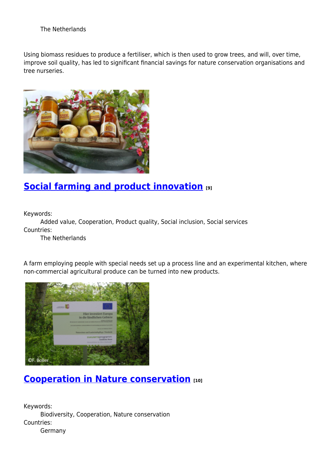#### The Netherlands

Using biomass residues to produce a fertiliser, which is then used to grow trees, and will, over time, improve soil quality, has led to significant financial savings for nature conservation organisations and tree nurseries.



### **[Social farming and product innovation](https://enrd.ec.europa.eu/projects-practice/social-farming-and-product-innovation_en) [9]**

Keywords:

Added value, Cooperation, Product quality, Social inclusion, Social services Countries:

The Netherlands

A farm employing people with special needs set up a process line and an experimental kitchen, where non-commercial agricultural produce can be turned into new products.



## **[Cooperation in Nature conservation](https://enrd.ec.europa.eu/projects-practice/cooperation-nature-conservation_en) [10]**

Keywords: Biodiversity, Cooperation, Nature conservation Countries: Germany